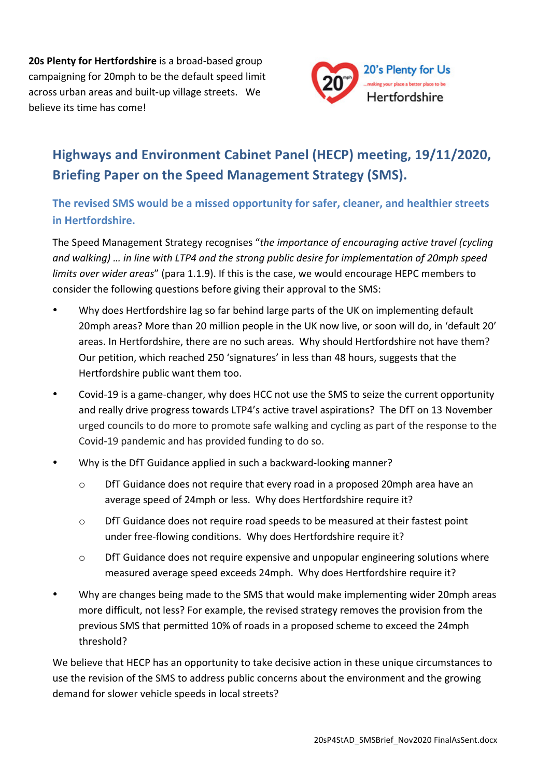**20s Plenty for Hertfordshire** is a broad-based group campaigning for 20mph to be the default speed limit across urban areas and built-up village streets. We believe its time has come!



## **Highways and Environment Cabinet Panel (HECP) meeting, 19/11/2020, Briefing Paper on the Speed Management Strategy (SMS).**

## **The revised SMS would be a missed opportunity for safer, cleaner, and healthier streets in Hertfordshire.**

The Speed Management Strategy recognises "the importance of encouraging active travel (cycling and walking) ... in line with LTP4 and the strong public desire for implementation of 20mph speed *limits over wider areas"* (para 1.1.9). If this is the case, we would encourage HEPC members to consider the following questions before giving their approval to the SMS:

- Why does Hertfordshire lag so far behind large parts of the UK on implementing default 20mph areas? More than 20 million people in the UK now live, or soon will do, in 'default 20' areas. In Hertfordshire, there are no such areas. Why should Hertfordshire not have them? Our petition, which reached 250 'signatures' in less than 48 hours, suggests that the Hertfordshire public want them too.
- Covid-19 is a game-changer, why does HCC not use the SMS to seize the current opportunity and really drive progress towards LTP4's active travel aspirations? The DfT on 13 November urged councils to do more to promote safe walking and cycling as part of the response to the Covid-19 pandemic and has provided funding to do so.
- Why is the DfT Guidance applied in such a backward-looking manner?
	- $\circ$  DfT Guidance does not require that every road in a proposed 20mph area have an average speed of 24mph or less. Why does Hertfordshire require it?
	- $\circ$  DfT Guidance does not require road speeds to be measured at their fastest point under free-flowing conditions. Why does Hertfordshire require it?
	- $\circ$  DfT Guidance does not require expensive and unpopular engineering solutions where measured average speed exceeds 24mph. Why does Hertfordshire require it?
- Why are changes being made to the SMS that would make implementing wider 20mph areas more difficult, not less? For example, the revised strategy removes the provision from the previous SMS that permitted 10% of roads in a proposed scheme to exceed the 24mph threshold?

We believe that HECP has an opportunity to take decisive action in these unique circumstances to use the revision of the SMS to address public concerns about the environment and the growing demand for slower vehicle speeds in local streets?